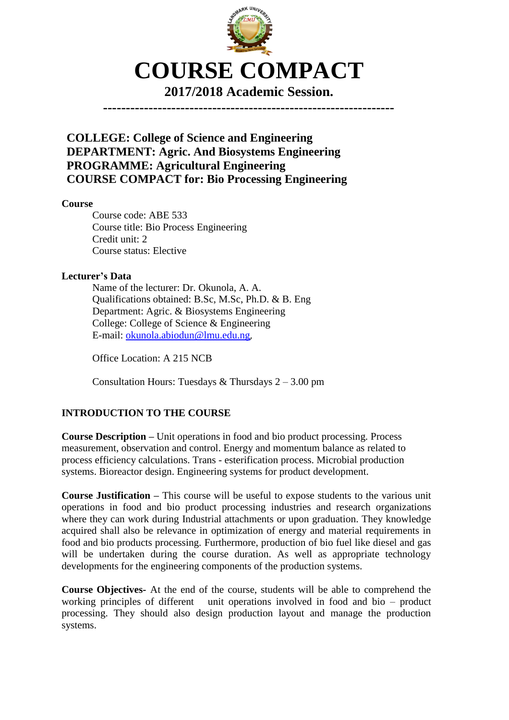

**2017/2018 Academic Session.**

**----------------------------------------------------------------**

**COLLEGE: College of Science and Engineering DEPARTMENT: Agric. And Biosystems Engineering PROGRAMME: Agricultural Engineering COURSE COMPACT for: Bio Processing Engineering**

**Course**

Course code: ABE 533 Course title: Bio Process Engineering Credit unit: 2 Course status: Elective

#### **Lecturer's Data**

Name of the lecturer: Dr. Okunola, A. A. Qualifications obtained: B.Sc, M.Sc, Ph.D. & B. Eng Department: Agric. & Biosystems Engineering College: College of Science & Engineering E-mail: [okunola.abiodun@lmu.edu.ng](mailto:okunola.abiodun@lmu.edu.ng),

Office Location: A 215 NCB

Consultation Hours: Tuesdays & Thursdays 2 – 3.00 pm

#### **INTRODUCTION TO THE COURSE**

**Course Description –** Unit operations in food and bio product processing. Process measurement, observation and control. Energy and momentum balance as related to process efficiency calculations. Trans - esterification process. Microbial production systems. Bioreactor design. Engineering systems for product development.

**Course Justification –** This course will be useful to expose students to the various unit operations in food and bio product processing industries and research organizations where they can work during Industrial attachments or upon graduation. They knowledge acquired shall also be relevance in optimization of energy and material requirements in food and bio products processing. Furthermore, production of bio fuel like diesel and gas will be undertaken during the course duration. As well as appropriate technology developments for the engineering components of the production systems.

**Course Objectives-** At the end of the course, students will be able to comprehend the working principles of different unit operations involved in food and bio – product processing. They should also design production layout and manage the production systems.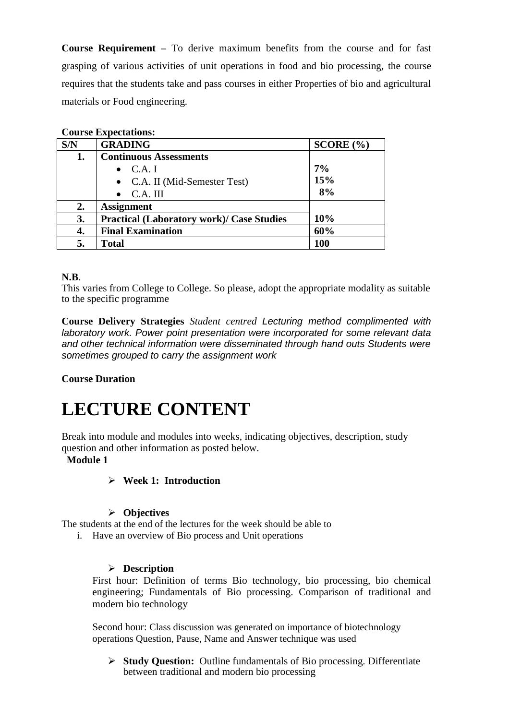**Course Requirement –** To derive maximum benefits from the course and for fast grasping of various activities of unit operations in food and bio processing, the course requires that the students take and pass courses in either Properties of bio and agricultural materials or Food engineering.

| <b>Course Expectations:</b> |                                                  |           |
|-----------------------------|--------------------------------------------------|-----------|
| S/N                         | <b>GRADING</b>                                   | SCORE (%) |
| 1.                          | <b>Continuous Assessments</b>                    |           |
|                             | $\bullet$ C.A. I                                 | 7%        |
|                             | • C.A. II (Mid-Semester Test)                    | 15%       |
|                             | C.A. III                                         | 8%        |
| 2.                          | <b>Assignment</b>                                |           |
| 3.                          | <b>Practical (Laboratory work)/ Case Studies</b> | 10%       |
| 4.                          | <b>Final Examination</b>                         | 60%       |
|                             | <b>Total</b>                                     | 100       |

#### **N.B**.

This varies from College to College. So please, adopt the appropriate modality as suitable to the specific programme

**Course Delivery Strategies** *Student centred Lecturing method complimented with laboratory work. Power point presentation were incorporated for some relevant data and other technical information were disseminated through hand outs Students were sometimes grouped to carry the assignment work*

#### **Course Duration**

# **LECTURE CONTENT**

Break into module and modules into weeks, indicating objectives, description, study question and other information as posted below.

#### **Module 1**

#### **Week 1: Introduction**

#### **Objectives**

The students at the end of the lectures for the week should be able to

i. Have an overview of Bio process and Unit operations

#### **Description**

First hour: Definition of terms Bio technology, bio processing, bio chemical engineering; Fundamentals of Bio processing. Comparison of traditional and modern bio technology

Second hour: Class discussion was generated on importance of biotechnology operations Question, Pause, Name and Answer technique was used

 **Study Question:** Outline fundamentals of Bio processing. Differentiate between traditional and modern bio processing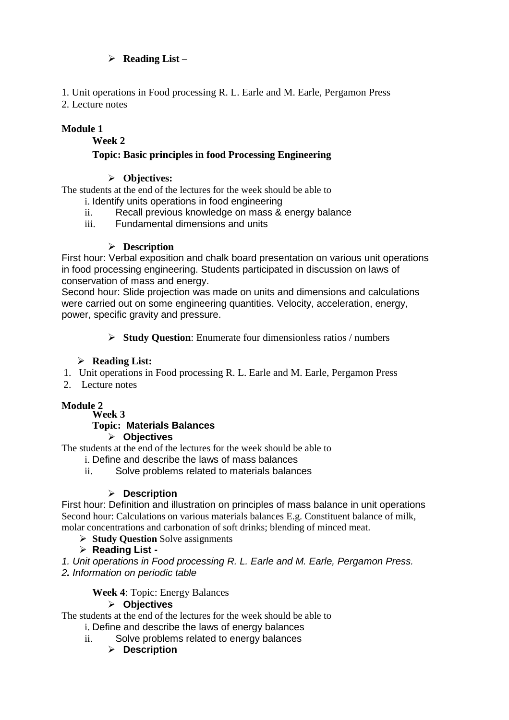#### **Reading List –**

1. Unit operations in Food processing R. L. Earle and M. Earle, Pergamon Press

2. Lecture notes

## **Module 1**

#### **Week 2**

## **Topic: Basic principles in food Processing Engineering**

#### **Objectives:**

The students at the end of the lectures for the week should be able to i. Identify units operations in food engineering

- ii. Recall previous knowledge on mass & energy balance
- iii. Fundamental dimensions and units

#### **Description**

First hour: Verbal exposition and chalk board presentation on various unit operations in food processing engineering. Students participated in discussion on laws of conservation of mass and energy.

Second hour: Slide projection was made on units and dimensions and calculations were carried out on some engineering quantities. Velocity, acceleration, energy, power, specific gravity and pressure.

**Study Question**: Enumerate four dimensionless ratios / numbers

#### **Reading List:**

- 1. Unit operations in Food processing R. L. Earle and M. Earle, Pergamon Press
- 2. Lecture notes

# **Module 2**

**Week 3**

#### **Topic: Materials Balances**

#### **Objectives**

The students at the end of the lectures for the week should be able to

- i. Define and describe the laws of mass balances
- ii. Solve problems related to materials balances

#### **Description**

First hour: Definition and illustration on principles of mass balance in unit operations Second hour: Calculations on various materials balances E.g. Constituent balance of milk, molar concentrations and carbonation of soft drinks; blending of minced meat.

**Study Question** Solve assignments

#### **Reading List -**

*1. Unit operations in Food processing R. L. Earle and M. Earle, Pergamon Press. 2. Information on periodic table*

**Week 4**: Topic: Energy Balances

#### **Objectives**

The students at the end of the lectures for the week should be able to

- i. Define and describe the laws of energy balances
- ii. Solve problems related to energy balances
	- **Description**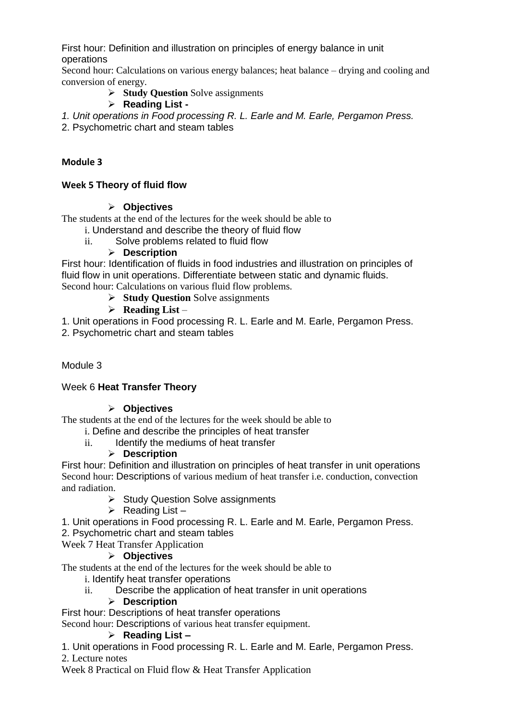First hour: Definition and illustration on principles of energy balance in unit operations

Second hour: Calculations on various energy balances; heat balance – drying and cooling and conversion of energy.

**Study Question** Solve assignments

# **Reading List -**

*1. Unit operations in Food processing R. L. Earle and M. Earle, Pergamon Press.*

2. Psychometric chart and steam tables

# **Module 3**

# **Week 5 Theory of fluid flow**

#### **Objectives**

The students at the end of the lectures for the week should be able to

- i. Understand and describe the theory of fluid flow
- ii. Solve problems related to fluid flow

# **Description**

First hour: Identification of fluids in food industries and illustration on principles of fluid flow in unit operations. Differentiate between static and dynamic fluids. Second hour: Calculations on various fluid flow problems.

- **Study Question** Solve assignments
- **Reading List** –

1. Unit operations in Food processing R. L. Earle and M. Earle, Pergamon Press.

2. Psychometric chart and steam tables

Module 3

# Week 6 **Heat Transfer Theory**

# **Objectives**

The students at the end of the lectures for the week should be able to

- i. Define and describe the principles of heat transfer
- ii. Identify the mediums of heat transfer

# **Description**

First hour: Definition and illustration on principles of heat transfer in unit operations Second hour: Descriptions of various medium of heat transfer i.e. conduction, convection and radiation.

- $\triangleright$  Study Question Solve assignments
- $\triangleright$  Reading List –
- 1. Unit operations in Food processing R. L. Earle and M. Earle, Pergamon Press.
- 2. Psychometric chart and steam tables

Week 7 Heat Transfer Application

#### **Objectives**

The students at the end of the lectures for the week should be able to

i. Identify heat transfer operations

ii. Describe the application of heat transfer in unit operations

#### **Description**

First hour: Descriptions of heat transfer operations

Second hour: Descriptions of various heat transfer equipment.

# **Reading List –**

1. Unit operations in Food processing R. L. Earle and M. Earle, Pergamon Press.

#### 2. Lecture notes

Week 8 Practical on Fluid flow & Heat Transfer Application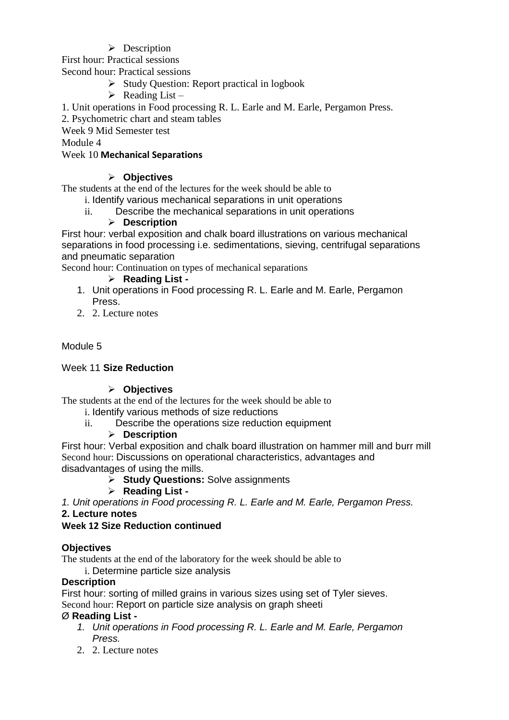$\triangleright$  Description

First hour: Practical sessions

Second hour: Practical sessions

- $\triangleright$  Study Question: Report practical in logbook
- $\triangleright$  Reading List –

1. Unit operations in Food processing R. L. Earle and M. Earle, Pergamon Press.

2. Psychometric chart and steam tables

Week 9 Mid Semester test

Module 4

## Week 10 **Mechanical Separations**

# **Objectives**

The students at the end of the lectures for the week should be able to

- i. Identify various mechanical separations in unit operations
	- ii. Describe the mechanical separations in unit operations

## **Description**

First hour: verbal exposition and chalk board illustrations on various mechanical separations in food processing i.e. sedimentations, sieving, centrifugal separations and pneumatic separation

Second hour: Continuation on types of mechanical separations

# **Reading List -**

- 1. Unit operations in Food processing R. L. Earle and M. Earle, Pergamon Press.
- 2. 2. Lecture notes

# Module 5

#### Week 11 **Size Reduction**

#### **Objectives**

The students at the end of the lectures for the week should be able to

i. Identify various methods of size reductions

ii. Describe the operations size reduction equipment

#### **Description**

First hour: Verbal exposition and chalk board illustration on hammer mill and burr mill Second hour: Discussions on operational characteristics, advantages and disadvantages of using the mills.

- **Study Questions:** Solve assignments
- **Reading List -**

*1. Unit operations in Food processing R. L. Earle and M. Earle, Pergamon Press.*

#### **2. Lecture notes**

# **Week 12 Size Reduction continued**

# **Objectives**

The students at the end of the laboratory for the week should be able to

i. Determine particle size analysis

#### **Description**

First hour: sorting of milled grains in various sizes using set of Tyler sieves.

Second hour: Report on particle size analysis on graph sheeti

#### Ø **Reading List -**

- *1. Unit operations in Food processing R. L. Earle and M. Earle, Pergamon Press.*
- 2. 2. Lecture notes